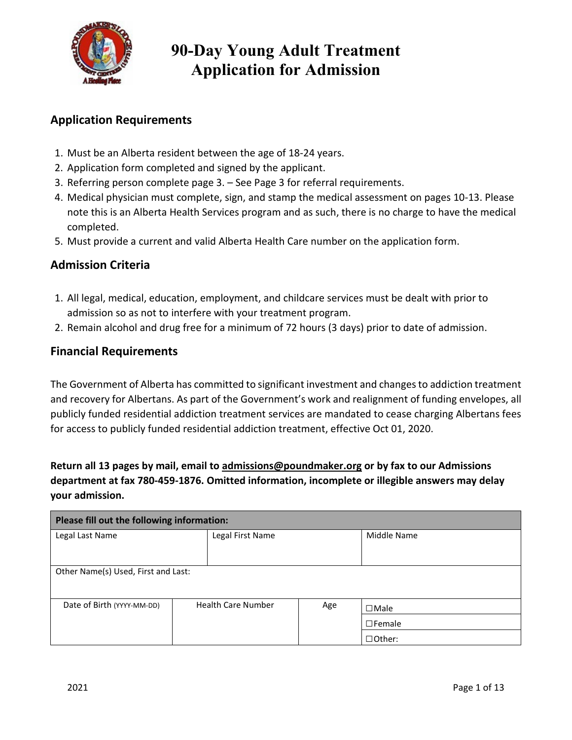

## **Application Requirements**

- 1. Must be an Alberta resident between the age of 18-24 years.
- 2. Application form completed and signed by the applicant.
- 3. Referring person complete page 3. See Page 3 for referral requirements.
- 4. Medical physician must complete, sign, and stamp the medical assessment on pages 10-13. Please note this is an Alberta Health Services program and as such, there is no charge to have the medical completed.
- 5. Must provide a current and valid Alberta Health Care number on the application form.

### **Admission Criteria**

- 1. All legal, medical, education, employment, and childcare services must be dealt with prior to admission so as not to interfere with your treatment program.
- 2. Remain alcohol and drug free for a minimum of 72 hours (3 days) prior to date of admission.

### **Financial Requirements**

The Government of Alberta has committed to significant investment and changes to addiction treatment and recovery for Albertans. As part of the Government's work and realignment of funding envelopes, all publicly funded residential addiction treatment services are mandated to cease charging Albertans fees for access to publicly funded residential addiction treatment, effective Oct 01, 2020.

**Return all 13 pages by mail, email to admissions@poundmaker.org or by fax to our Admissions department at fax 780-459-1876. Omitted information, incomplete or illegible answers may delay your admission.**

| Please fill out the following information: |                           |     |               |  |  |  |  |  |  |
|--------------------------------------------|---------------------------|-----|---------------|--|--|--|--|--|--|
| Legal Last Name                            | Legal First Name          |     | Middle Name   |  |  |  |  |  |  |
|                                            |                           |     |               |  |  |  |  |  |  |
| Other Name(s) Used, First and Last:        |                           |     |               |  |  |  |  |  |  |
|                                            |                           |     |               |  |  |  |  |  |  |
| Date of Birth (YYYY-MM-DD)                 | <b>Health Care Number</b> | Age | $\Box$ Male   |  |  |  |  |  |  |
|                                            |                           |     | $\Box$ Female |  |  |  |  |  |  |
|                                            |                           |     | $\Box$ Other: |  |  |  |  |  |  |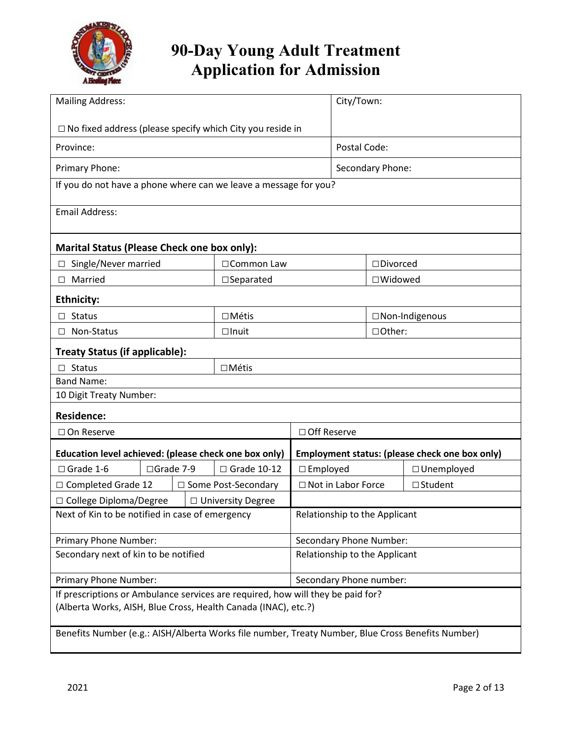

| <b>Mailing Address:</b>                                                                           |            |  |                               | City/Town:                    |                    |                                                |  |  |
|---------------------------------------------------------------------------------------------------|------------|--|-------------------------------|-------------------------------|--------------------|------------------------------------------------|--|--|
| $\Box$ No fixed address (please specify which City you reside in                                  |            |  |                               |                               |                    |                                                |  |  |
| Province:                                                                                         |            |  |                               | Postal Code:                  |                    |                                                |  |  |
| Primary Phone:                                                                                    |            |  |                               |                               | Secondary Phone:   |                                                |  |  |
| If you do not have a phone where can we leave a message for you?                                  |            |  |                               |                               |                    |                                                |  |  |
| <b>Email Address:</b>                                                                             |            |  |                               |                               |                    |                                                |  |  |
|                                                                                                   |            |  |                               |                               |                    |                                                |  |  |
| <b>Marital Status (Please Check one box only):</b>                                                |            |  |                               |                               |                    |                                                |  |  |
| Single/Never married<br>$\Box$                                                                    |            |  | □ Common Law                  |                               | $\square$ Divorced |                                                |  |  |
| $\Box$ Married                                                                                    |            |  | $\square$ Separated           |                               | $\square$ Widowed  |                                                |  |  |
| <b>Ethnicity:</b>                                                                                 |            |  |                               |                               |                    |                                                |  |  |
| $\Box$ Status                                                                                     |            |  | $\Box$ Métis                  |                               |                    | □ Non-Indigenous                               |  |  |
| Non-Status<br>ш                                                                                   |            |  | $\Box$ Inuit                  |                               | □Other:            |                                                |  |  |
| <b>Treaty Status (if applicable):</b>                                                             |            |  |                               |                               |                    |                                                |  |  |
| $\Box$ Status                                                                                     |            |  | $\Box$ Métis                  |                               |                    |                                                |  |  |
| <b>Band Name:</b>                                                                                 |            |  |                               |                               |                    |                                                |  |  |
| 10 Digit Treaty Number:                                                                           |            |  |                               |                               |                    |                                                |  |  |
| <b>Residence:</b>                                                                                 |            |  |                               |                               |                    |                                                |  |  |
| □ On Reserve                                                                                      |            |  |                               | □ Off Reserve                 |                    |                                                |  |  |
| Education level achieved: (please check one box only)                                             |            |  |                               |                               |                    | Employment status: (please check one box only) |  |  |
| $\Box$ Grade 1-6                                                                                  | □Grade 7-9 |  | $\Box$ Grade 10-12            | $\square$ Employed            |                    | $\Box$ Unemployed                              |  |  |
| $\Box$ Completed Grade 12                                                                         |            |  | □ Some Post-Secondary         | $\Box$ Not in Labor Force     |                    | $\Box$ Student                                 |  |  |
| □ College Diploma/Degree                                                                          |            |  | □ University Degree           |                               |                    |                                                |  |  |
| Next of Kin to be notified in case of emergency                                                   |            |  |                               | Relationship to the Applicant |                    |                                                |  |  |
| Primary Phone Number:                                                                             |            |  |                               | Secondary Phone Number:       |                    |                                                |  |  |
| Secondary next of kin to be notified                                                              |            |  | Relationship to the Applicant |                               |                    |                                                |  |  |
| Secondary Phone number:<br>Primary Phone Number:                                                  |            |  |                               |                               |                    |                                                |  |  |
| If prescriptions or Ambulance services are required, how will they be paid for?                   |            |  |                               |                               |                    |                                                |  |  |
| (Alberta Works, AISH, Blue Cross, Health Canada (INAC), etc.?)                                    |            |  |                               |                               |                    |                                                |  |  |
| Benefits Number (e.g.: AISH/Alberta Works file number, Treaty Number, Blue Cross Benefits Number) |            |  |                               |                               |                    |                                                |  |  |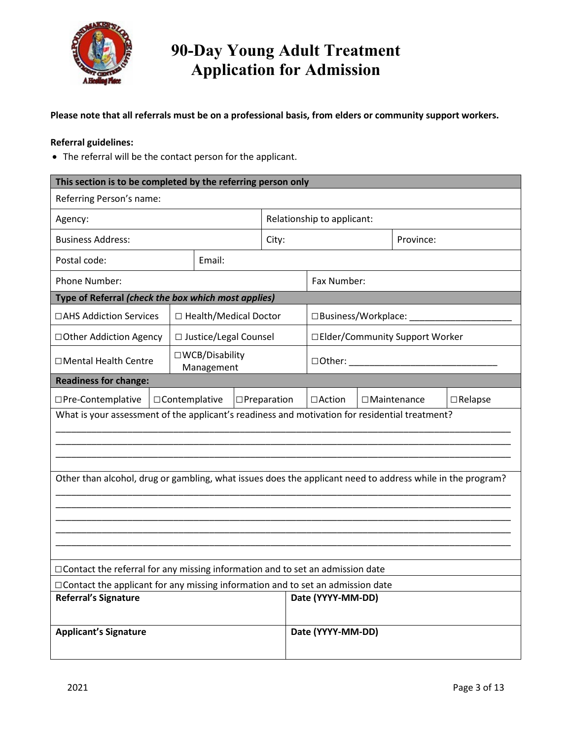

### **Please note that all referrals must be on a professional basis, from elders or community support workers.**

### **Referral guidelines:**

• The referral will be the contact person for the applicant.

| This section is to be completed by the referring person only                                               |  |                                |                       |                   |                            |                      |  |                                  |                |
|------------------------------------------------------------------------------------------------------------|--|--------------------------------|-----------------------|-------------------|----------------------------|----------------------|--|----------------------------------|----------------|
| Referring Person's name:                                                                                   |  |                                |                       |                   |                            |                      |  |                                  |                |
| Agency:                                                                                                    |  |                                |                       |                   | Relationship to applicant: |                      |  |                                  |                |
| <b>Business Address:</b>                                                                                   |  |                                |                       | City:             |                            |                      |  | Province:                        |                |
| Postal code:                                                                                               |  | Email:                         |                       |                   |                            |                      |  |                                  |                |
| <b>Phone Number:</b>                                                                                       |  |                                |                       |                   |                            | Fax Number:          |  |                                  |                |
| Type of Referral (check the box which most applies)                                                        |  |                                |                       |                   |                            |                      |  |                                  |                |
| □AHS Addiction Services                                                                                    |  | □ Health/Medical Doctor        |                       |                   |                            | □Business/Workplace: |  |                                  |                |
| □ Other Addiction Agency                                                                                   |  | □ Justice/Legal Counsel        |                       |                   |                            |                      |  | □ Elder/Community Support Worker |                |
| □Mental Health Centre                                                                                      |  | □ WCB/Disability<br>Management |                       |                   |                            | $\Box$ Other:        |  |                                  |                |
| <b>Readiness for change:</b>                                                                               |  |                                |                       |                   |                            |                      |  |                                  |                |
| □Pre-Contemplative                                                                                         |  | □Contemplative                 | $\square$ Preparation |                   |                            | $\Box$ Action        |  | $\Box$ Maintenance               | $\Box$ Relapse |
| What is your assessment of the applicant's readiness and motivation for residential treatment?             |  |                                |                       |                   |                            |                      |  |                                  |                |
|                                                                                                            |  |                                |                       |                   |                            |                      |  |                                  |                |
|                                                                                                            |  |                                |                       |                   |                            |                      |  |                                  |                |
|                                                                                                            |  |                                |                       |                   |                            |                      |  |                                  |                |
| Other than alcohol, drug or gambling, what issues does the applicant need to address while in the program? |  |                                |                       |                   |                            |                      |  |                                  |                |
|                                                                                                            |  |                                |                       |                   |                            |                      |  |                                  |                |
|                                                                                                            |  |                                |                       |                   |                            |                      |  |                                  |                |
|                                                                                                            |  |                                |                       |                   |                            |                      |  |                                  |                |
|                                                                                                            |  |                                |                       |                   |                            |                      |  |                                  |                |
| $\Box$ Contact the referral for any missing information and to set an admission date                       |  |                                |                       |                   |                            |                      |  |                                  |                |
| □ Contact the applicant for any missing information and to set an admission date                           |  |                                |                       |                   |                            |                      |  |                                  |                |
| <b>Referral's Signature</b>                                                                                |  |                                |                       | Date (YYYY-MM-DD) |                            |                      |  |                                  |                |
|                                                                                                            |  |                                |                       |                   |                            |                      |  |                                  |                |
| <b>Applicant's Signature</b>                                                                               |  |                                |                       |                   |                            | Date (YYYY-MM-DD)    |  |                                  |                |
|                                                                                                            |  |                                |                       |                   |                            |                      |  |                                  |                |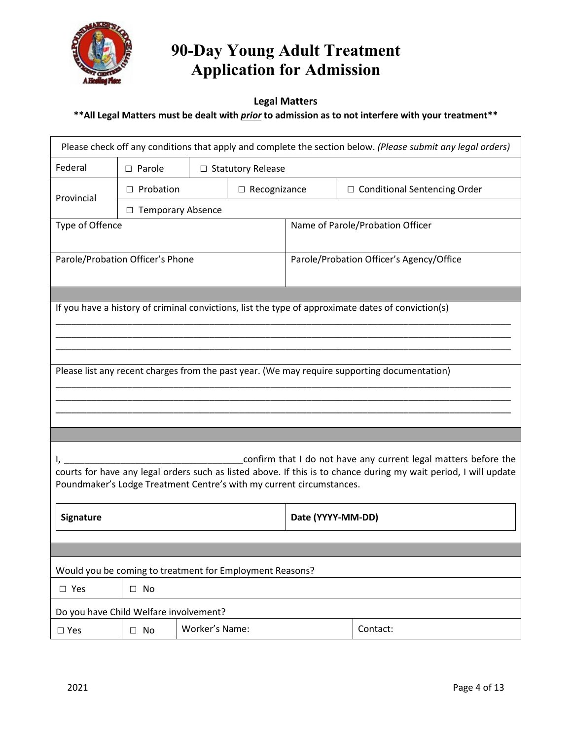

### **Legal Matters**

## **\*\*All Legal Matters must be dealt with** *prior* **to admission as to not interfere with your treatment\*\***

| Please check off any conditions that apply and complete the section below. (Please submit any legal orders) |                     |                |                     |                                                                      |                                                                                                                  |  |  |  |
|-------------------------------------------------------------------------------------------------------------|---------------------|----------------|---------------------|----------------------------------------------------------------------|------------------------------------------------------------------------------------------------------------------|--|--|--|
| Federal                                                                                                     | $\Box$ Parole       |                | □ Statutory Release |                                                                      |                                                                                                                  |  |  |  |
| Provincial                                                                                                  | $\Box$ Probation    |                | $\Box$ Recognizance |                                                                      | $\Box$ Conditional Sentencing Order                                                                              |  |  |  |
|                                                                                                             | □ Temporary Absence |                |                     |                                                                      |                                                                                                                  |  |  |  |
| Type of Offence                                                                                             |                     |                |                     |                                                                      | Name of Parole/Probation Officer                                                                                 |  |  |  |
| Parole/Probation Officer's Phone                                                                            |                     |                |                     |                                                                      |                                                                                                                  |  |  |  |
|                                                                                                             |                     |                |                     |                                                                      | Parole/Probation Officer's Agency/Office                                                                         |  |  |  |
|                                                                                                             |                     |                |                     |                                                                      |                                                                                                                  |  |  |  |
|                                                                                                             |                     |                |                     |                                                                      | If you have a history of criminal convictions, list the type of approximate dates of conviction(s)               |  |  |  |
|                                                                                                             |                     |                |                     |                                                                      |                                                                                                                  |  |  |  |
|                                                                                                             |                     |                |                     |                                                                      |                                                                                                                  |  |  |  |
|                                                                                                             |                     |                |                     |                                                                      | Please list any recent charges from the past year. (We may require supporting documentation)                     |  |  |  |
|                                                                                                             |                     |                |                     |                                                                      |                                                                                                                  |  |  |  |
|                                                                                                             |                     |                |                     |                                                                      |                                                                                                                  |  |  |  |
|                                                                                                             |                     |                |                     |                                                                      |                                                                                                                  |  |  |  |
|                                                                                                             |                     |                |                     |                                                                      | confirm that I do not have any current legal matters before the                                                  |  |  |  |
|                                                                                                             |                     |                |                     | Poundmaker's Lodge Treatment Centre's with my current circumstances. | courts for have any legal orders such as listed above. If this is to chance during my wait period, I will update |  |  |  |
|                                                                                                             |                     |                |                     |                                                                      |                                                                                                                  |  |  |  |
| Signature                                                                                                   |                     |                |                     | Date (YYYY-MM-DD)                                                    |                                                                                                                  |  |  |  |
|                                                                                                             |                     |                |                     |                                                                      |                                                                                                                  |  |  |  |
|                                                                                                             |                     |                |                     |                                                                      |                                                                                                                  |  |  |  |
| Would you be coming to treatment for Employment Reasons?                                                    |                     |                |                     |                                                                      |                                                                                                                  |  |  |  |
| $\square$ Yes<br>$\square$ No                                                                               |                     |                |                     |                                                                      |                                                                                                                  |  |  |  |
| Do you have Child Welfare involvement?                                                                      |                     |                |                     |                                                                      |                                                                                                                  |  |  |  |
| $\square$ Yes                                                                                               | $\square$ No        | Worker's Name: |                     |                                                                      | Contact:                                                                                                         |  |  |  |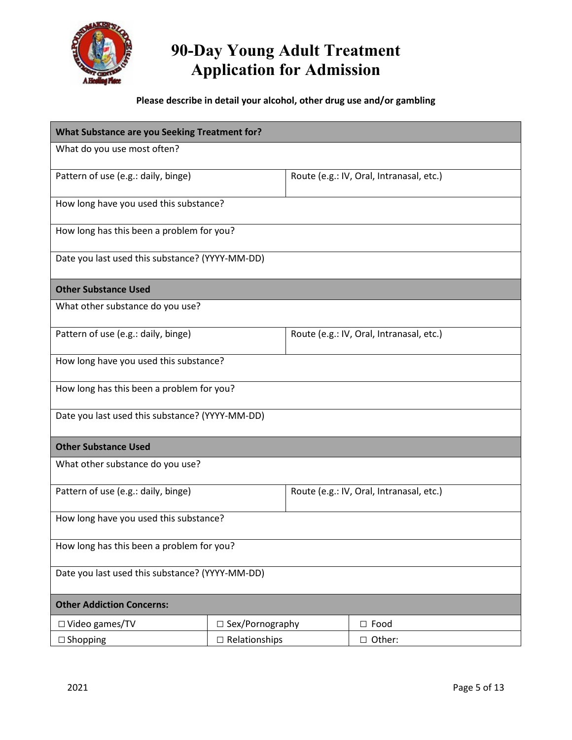

## **Please describe in detail your alcohol, other drug use and/or gambling**

| What Substance are you Seeking Treatment for?   |                        |                                          |                                          |  |  |  |  |
|-------------------------------------------------|------------------------|------------------------------------------|------------------------------------------|--|--|--|--|
| What do you use most often?                     |                        |                                          |                                          |  |  |  |  |
| Pattern of use (e.g.: daily, binge)             |                        |                                          | Route (e.g.: IV, Oral, Intranasal, etc.) |  |  |  |  |
| How long have you used this substance?          |                        |                                          |                                          |  |  |  |  |
| How long has this been a problem for you?       |                        |                                          |                                          |  |  |  |  |
| Date you last used this substance? (YYYY-MM-DD) |                        |                                          |                                          |  |  |  |  |
| <b>Other Substance Used</b>                     |                        |                                          |                                          |  |  |  |  |
| What other substance do you use?                |                        |                                          |                                          |  |  |  |  |
| Pattern of use (e.g.: daily, binge)             |                        | Route (e.g.: IV, Oral, Intranasal, etc.) |                                          |  |  |  |  |
| How long have you used this substance?          |                        |                                          |                                          |  |  |  |  |
| How long has this been a problem for you?       |                        |                                          |                                          |  |  |  |  |
| Date you last used this substance? (YYYY-MM-DD) |                        |                                          |                                          |  |  |  |  |
| <b>Other Substance Used</b>                     |                        |                                          |                                          |  |  |  |  |
| What other substance do you use?                |                        |                                          |                                          |  |  |  |  |
| Pattern of use (e.g.: daily, binge)             |                        | Route (e.g.: IV, Oral, Intranasal, etc.) |                                          |  |  |  |  |
| How long have you used this substance?          |                        |                                          |                                          |  |  |  |  |
| How long has this been a problem for you?       |                        |                                          |                                          |  |  |  |  |
| Date you last used this substance? (YYYY-MM-DD) |                        |                                          |                                          |  |  |  |  |
| <b>Other Addiction Concerns:</b>                |                        |                                          |                                          |  |  |  |  |
| □ Video games/TV                                | $\Box$ Sex/Pornography |                                          | $\Box$ Food                              |  |  |  |  |
| $\Box$ Shopping                                 | $\Box$ Relationships   |                                          | □ Other:                                 |  |  |  |  |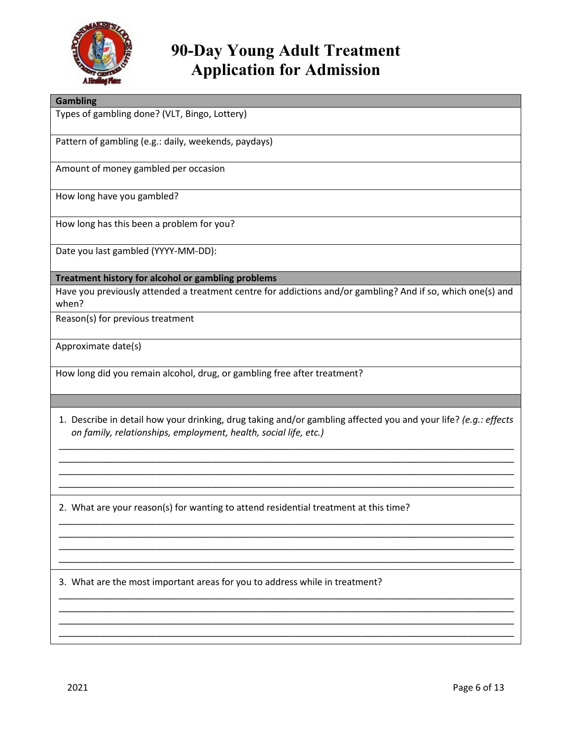

| Treatment history for alcohol or gambling problems<br>1. Describe in detail how your drinking, drug taking and/or gambling affected you and your life? (e.g.: effects<br>on family, relationships, employment, health, social life, etc.)<br>2. What are your reason(s) for wanting to attend residential treatment at this time?<br>3. What are the most important areas for you to address while in treatment? | <b>Gambling</b>                                                                                                      |
|------------------------------------------------------------------------------------------------------------------------------------------------------------------------------------------------------------------------------------------------------------------------------------------------------------------------------------------------------------------------------------------------------------------|----------------------------------------------------------------------------------------------------------------------|
|                                                                                                                                                                                                                                                                                                                                                                                                                  | Types of gambling done? (VLT, Bingo, Lottery)                                                                        |
|                                                                                                                                                                                                                                                                                                                                                                                                                  | Pattern of gambling (e.g.: daily, weekends, paydays)                                                                 |
|                                                                                                                                                                                                                                                                                                                                                                                                                  | Amount of money gambled per occasion                                                                                 |
|                                                                                                                                                                                                                                                                                                                                                                                                                  | How long have you gambled?                                                                                           |
|                                                                                                                                                                                                                                                                                                                                                                                                                  | How long has this been a problem for you?                                                                            |
|                                                                                                                                                                                                                                                                                                                                                                                                                  | Date you last gambled (YYYY-MM-DD):                                                                                  |
|                                                                                                                                                                                                                                                                                                                                                                                                                  |                                                                                                                      |
|                                                                                                                                                                                                                                                                                                                                                                                                                  | Have you previously attended a treatment centre for addictions and/or gambling? And if so, which one(s) and<br>when? |
|                                                                                                                                                                                                                                                                                                                                                                                                                  | Reason(s) for previous treatment                                                                                     |
|                                                                                                                                                                                                                                                                                                                                                                                                                  | Approximate date(s)                                                                                                  |
|                                                                                                                                                                                                                                                                                                                                                                                                                  | How long did you remain alcohol, drug, or gambling free after treatment?                                             |
|                                                                                                                                                                                                                                                                                                                                                                                                                  |                                                                                                                      |
|                                                                                                                                                                                                                                                                                                                                                                                                                  |                                                                                                                      |
|                                                                                                                                                                                                                                                                                                                                                                                                                  |                                                                                                                      |
|                                                                                                                                                                                                                                                                                                                                                                                                                  |                                                                                                                      |
|                                                                                                                                                                                                                                                                                                                                                                                                                  |                                                                                                                      |
|                                                                                                                                                                                                                                                                                                                                                                                                                  |                                                                                                                      |
|                                                                                                                                                                                                                                                                                                                                                                                                                  |                                                                                                                      |
|                                                                                                                                                                                                                                                                                                                                                                                                                  |                                                                                                                      |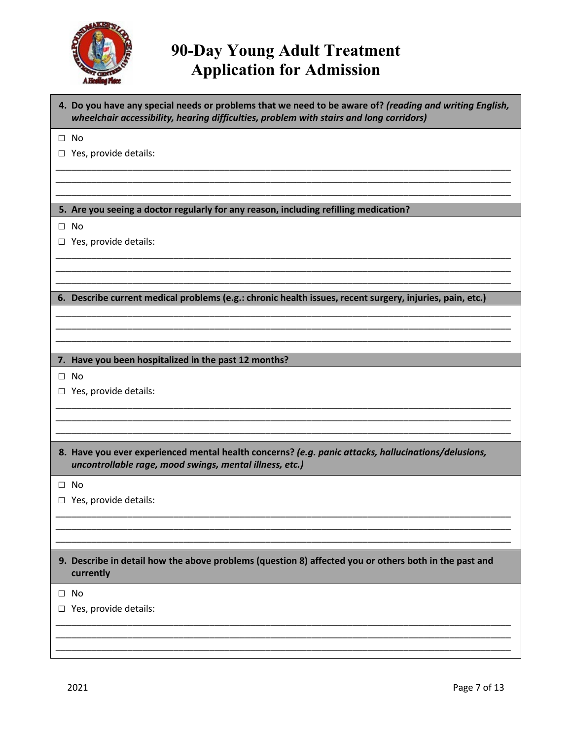

|   | 4. Do you have any special needs or problems that we need to be aware of? (reading and writing English,<br>wheelchair accessibility, hearing difficulties, problem with stairs and long corridors) |
|---|----------------------------------------------------------------------------------------------------------------------------------------------------------------------------------------------------|
|   | $\square$ No                                                                                                                                                                                       |
|   | $\Box$ Yes, provide details:                                                                                                                                                                       |
|   |                                                                                                                                                                                                    |
|   |                                                                                                                                                                                                    |
|   |                                                                                                                                                                                                    |
|   | 5. Are you seeing a doctor regularly for any reason, including refilling medication?                                                                                                               |
|   | $\square$ No                                                                                                                                                                                       |
|   | $\Box$ Yes, provide details:                                                                                                                                                                       |
|   |                                                                                                                                                                                                    |
|   |                                                                                                                                                                                                    |
|   |                                                                                                                                                                                                    |
|   | 6. Describe current medical problems (e.g.: chronic health issues, recent surgery, injuries, pain, etc.)                                                                                           |
|   |                                                                                                                                                                                                    |
|   |                                                                                                                                                                                                    |
|   |                                                                                                                                                                                                    |
|   | 7. Have you been hospitalized in the past 12 months?                                                                                                                                               |
|   | $\square$ No                                                                                                                                                                                       |
|   | $\Box$ Yes, provide details:                                                                                                                                                                       |
|   |                                                                                                                                                                                                    |
|   |                                                                                                                                                                                                    |
|   |                                                                                                                                                                                                    |
|   | 8. Have you ever experienced mental health concerns? (e.g. panic attacks, hallucinations/delusions,<br>uncontrollable rage, mood swings, mental illness, etc.)                                     |
|   | $\Box$ No                                                                                                                                                                                          |
|   | $\Box$ Yes, provide details:                                                                                                                                                                       |
|   |                                                                                                                                                                                                    |
|   |                                                                                                                                                                                                    |
|   |                                                                                                                                                                                                    |
|   |                                                                                                                                                                                                    |
|   | 9. Describe in detail how the above problems (question 8) affected you or others both in the past and<br>currently                                                                                 |
|   | $\square$ No                                                                                                                                                                                       |
| ⊔ |                                                                                                                                                                                                    |
|   | Yes, provide details:                                                                                                                                                                              |
|   |                                                                                                                                                                                                    |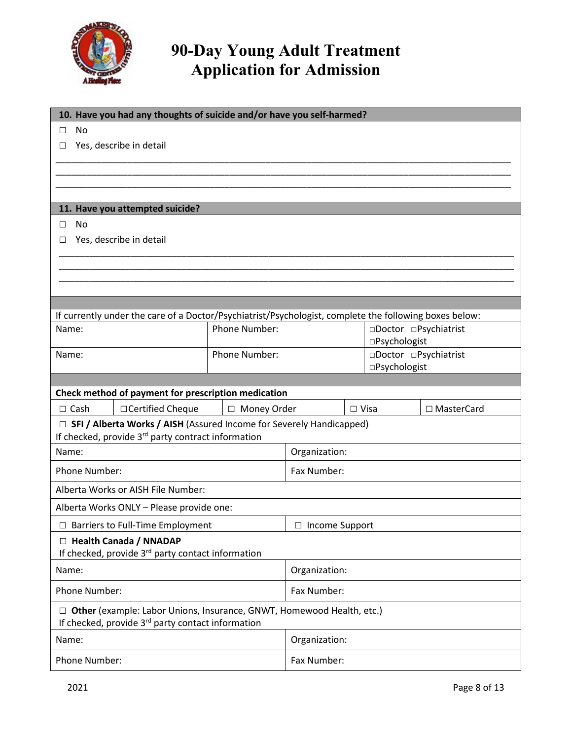

| 10. Have you had any thoughts of suicide and/or have you self-harmed?                                                                    |                      |                  |                                        |              |  |  |
|------------------------------------------------------------------------------------------------------------------------------------------|----------------------|------------------|----------------------------------------|--------------|--|--|
| No<br>□                                                                                                                                  |                      |                  |                                        |              |  |  |
| Yes, describe in detail                                                                                                                  |                      |                  |                                        |              |  |  |
|                                                                                                                                          |                      |                  |                                        |              |  |  |
|                                                                                                                                          |                      |                  |                                        |              |  |  |
|                                                                                                                                          |                      |                  |                                        |              |  |  |
| 11. Have you attempted suicide?                                                                                                          |                      |                  |                                        |              |  |  |
| No<br>□<br>Yes, describe in detail                                                                                                       |                      |                  |                                        |              |  |  |
| ш                                                                                                                                        |                      |                  |                                        |              |  |  |
|                                                                                                                                          |                      |                  |                                        |              |  |  |
|                                                                                                                                          |                      |                  |                                        |              |  |  |
|                                                                                                                                          |                      |                  |                                        |              |  |  |
| If currently under the care of a Doctor/Psychiatrist/Psychologist, complete the following boxes below:                                   |                      |                  |                                        |              |  |  |
| Name:                                                                                                                                    | Phone Number:        |                  | □Doctor □Psychiatrist                  |              |  |  |
| Name:                                                                                                                                    | <b>Phone Number:</b> |                  | □Psychologist<br>□Doctor □Psychiatrist |              |  |  |
|                                                                                                                                          |                      | □Psychologist    |                                        |              |  |  |
|                                                                                                                                          |                      |                  |                                        |              |  |  |
| Check method of payment for prescription medication                                                                                      |                      |                  |                                        |              |  |  |
| $\Box$ Cash<br>□ Certified Cheque                                                                                                        | □ Money Order        |                  | $\Box$ Visa                            | □ MasterCard |  |  |
| □ SFI / Alberta Works / AISH (Assured Income for Severely Handicapped)<br>If checked, provide 3 <sup>rd</sup> party contract information |                      |                  |                                        |              |  |  |
| Name:                                                                                                                                    |                      | Organization:    |                                        |              |  |  |
| Phone Number:                                                                                                                            |                      | Fax Number:      |                                        |              |  |  |
| Alberta Works or AISH File Number:                                                                                                       |                      |                  |                                        |              |  |  |
| Alberta Works ONLY - Please provide one:                                                                                                 |                      |                  |                                        |              |  |  |
| □ Barriers to Full-Time Employment                                                                                                       |                      | □ Income Support |                                        |              |  |  |
| □ Health Canada / NNADAP<br>If checked, provide 3 <sup>rd</sup> party contact information                                                |                      |                  |                                        |              |  |  |
| Name:                                                                                                                                    | Organization:        |                  |                                        |              |  |  |
| Phone Number:                                                                                                                            | Fax Number:          |                  |                                        |              |  |  |
| □ Other (example: Labor Unions, Insurance, GNWT, Homewood Health, etc.)<br>If checked, provide 3 <sup>rd</sup> party contact information |                      |                  |                                        |              |  |  |
| Name:                                                                                                                                    |                      | Organization:    |                                        |              |  |  |
| Phone Number:                                                                                                                            |                      | Fax Number:      |                                        |              |  |  |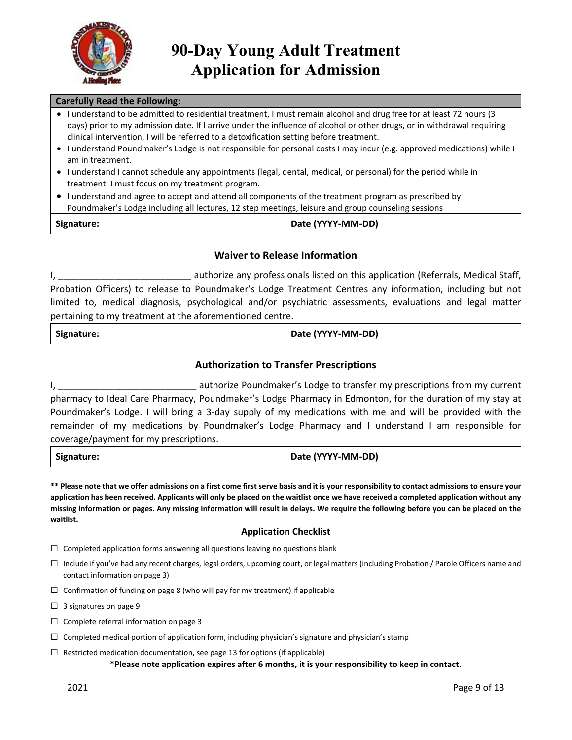

#### **Carefully Read the Following:**

- I understand to be admitted to residential treatment, I must remain alcohol and drug free for at least 72 hours (3 days) prior to my admission date. If I arrive under the influence of alcohol or other drugs, or in withdrawal requiring clinical intervention, I will be referred to a detoxification setting before treatment.
- I understand Poundmaker's Lodge is not responsible for personal costs I may incur (e.g. approved medications) while I am in treatment.
- I understand I cannot schedule any appointments (legal, dental, medical, or personal) for the period while in treatment. I must focus on my treatment program.
- I understand and agree to accept and attend all components of the treatment program as prescribed by Poundmaker's Lodge including all lectures, 12 step meetings, leisure and group counseling sessions

| Signature: | Date (YYYY-MM-DD) |
|------------|-------------------|
|------------|-------------------|

#### **Waiver to Release Information**

authorize any professionals listed on this application (Referrals, Medical Staff, Probation Officers) to release to Poundmaker's Lodge Treatment Centres any information, including but not limited to, medical diagnosis, psychological and/or psychiatric assessments, evaluations and legal matter pertaining to my treatment at the aforementioned centre.

| Signature: | Date (YYYY-MM-DD) |
|------------|-------------------|
|------------|-------------------|

#### **Authorization to Transfer Prescriptions**

I, \_\_\_\_\_\_\_\_\_\_\_\_\_\_\_\_\_\_\_\_\_\_\_\_\_\_\_ authorize Poundmaker's Lodge to transfer my prescriptions from my current pharmacy to Ideal Care Pharmacy, Poundmaker's Lodge Pharmacy in Edmonton, for the duration of my stay at Poundmaker's Lodge. I will bring a 3-day supply of my medications with me and will be provided with the remainder of my medications by Poundmaker's Lodge Pharmacy and I understand I am responsible for coverage/payment for my prescriptions.

| Signature: | Date (YYYY-MM-DD) |
|------------|-------------------|
|------------|-------------------|

**\*\* Please note that we offer admissions on a first come first serve basis and it is your responsibility to contact admissions to ensure your application has been received. Applicants will only be placed on the waitlist once we have received a completed application without any missing information or pages. Any missing information will result in delays. We require the following before you can be placed on the waitlist.**

#### **Application Checklist**

- $\square$  Completed application forms answering all questions leaving no questions blank
- $\square$  Include if you've had any recent charges, legal orders, upcoming court, or legal matters (including Probation / Parole Officers name and contact information on page 3)
- $\square$  Confirmation of funding on page 8 (who will pay for my treatment) if applicable

 $\Box$  3 signatures on page 9

- $\Box$  Complete referral information on page 3
- $\square$  Completed medical portion of application form, including physician's signature and physician's stamp
- $\square$  Restricted medication documentation, see page 13 for options (if applicable)

**\*Please note application expires after 6 months, it is your responsibility to keep in contact.**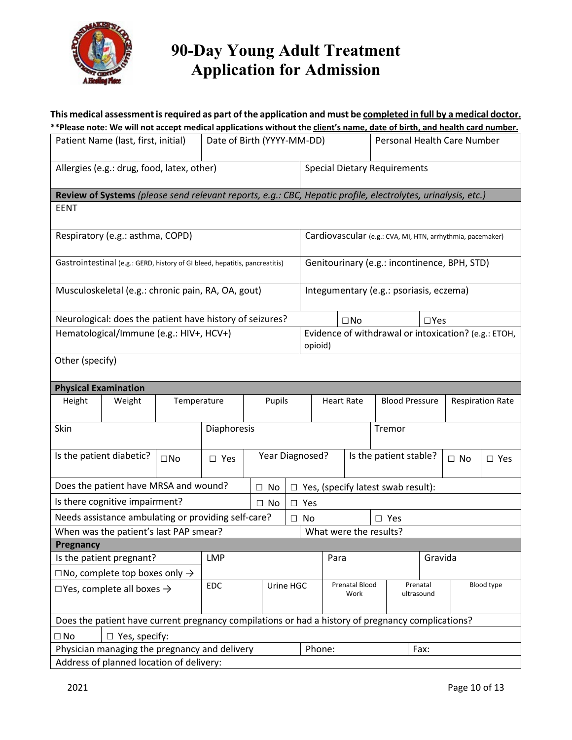

### **This medical assessment is required as part of the application and must be completed in full by a medical doctor. \*\*Please note: We will not accept medical applications without the client's name, date of birth, and health card number.**

|                                                     | Patient Name (last, first, initial)                                                                          |              | Date of Birth (YYYY-MM-DD) |           |                                     |            | Personal Health Care Number                            |                                                                       |              |                                                            |               |  |  |
|-----------------------------------------------------|--------------------------------------------------------------------------------------------------------------|--------------|----------------------------|-----------|-------------------------------------|------------|--------------------------------------------------------|-----------------------------------------------------------------------|--------------|------------------------------------------------------------|---------------|--|--|
| Allergies (e.g.: drug, food, latex, other)          |                                                                                                              |              |                            |           | <b>Special Dietary Requirements</b> |            |                                                        |                                                                       |              |                                                            |               |  |  |
|                                                     | Review of Systems (please send relevant reports, e.g.: CBC, Hepatic profile, electrolytes, urinalysis, etc.) |              |                            |           |                                     |            |                                                        |                                                                       |              |                                                            |               |  |  |
| <b>EENT</b>                                         |                                                                                                              |              |                            |           |                                     |            |                                                        |                                                                       |              |                                                            |               |  |  |
|                                                     | Respiratory (e.g.: asthma, COPD)                                                                             |              |                            |           |                                     |            |                                                        |                                                                       |              | Cardiovascular (e.g.: CVA, MI, HTN, arrhythmia, pacemaker) |               |  |  |
|                                                     | Gastrointestinal (e.g.: GERD, history of GI bleed, hepatitis, pancreatitis)                                  |              |                            |           |                                     |            |                                                        |                                                                       |              | Genitourinary (e.g.: incontinence, BPH, STD)               |               |  |  |
|                                                     | Musculoskeletal (e.g.: chronic pain, RA, OA, gout)                                                           |              |                            |           |                                     |            |                                                        |                                                                       |              | Integumentary (e.g.: psoriasis, eczema)                    |               |  |  |
|                                                     | Neurological: does the patient have history of seizures?                                                     |              |                            |           |                                     |            |                                                        |                                                                       | $\square$ No |                                                            | $\Box$ Yes    |  |  |
|                                                     | Hematological/Immune (e.g.: HIV+, HCV+)                                                                      |              |                            |           |                                     |            | opioid)                                                |                                                                       |              | Evidence of withdrawal or intoxication? (e.g.: ETOH,       |               |  |  |
| Other (specify)                                     |                                                                                                              |              |                            |           |                                     |            |                                                        |                                                                       |              |                                                            |               |  |  |
| <b>Physical Examination</b>                         |                                                                                                              |              |                            |           |                                     |            |                                                        |                                                                       |              |                                                            |               |  |  |
| Height                                              | Weight                                                                                                       | Temperature  |                            |           | Pupils                              |            |                                                        | <b>Blood Pressure</b><br><b>Heart Rate</b><br><b>Respiration Rate</b> |              |                                                            |               |  |  |
| Skin                                                |                                                                                                              |              | Diaphoresis                |           |                                     |            | Tremor                                                 |                                                                       |              |                                                            |               |  |  |
|                                                     | Is the patient diabetic?                                                                                     | $\square$ No | $\square$ Yes              |           |                                     |            | Year Diagnosed?<br>Is the patient stable?<br>$\Box$ No |                                                                       |              |                                                            | $\square$ Yes |  |  |
|                                                     | Does the patient have MRSA and wound?                                                                        |              |                            |           | $\square$ No                        |            |                                                        |                                                                       |              | $\Box$ Yes, (specify latest swab result):                  |               |  |  |
|                                                     | Is there cognitive impairment?                                                                               |              |                            |           | $\Box$ No                           | $\Box$ Yes |                                                        |                                                                       |              |                                                            |               |  |  |
|                                                     | Needs assistance ambulating or providing self-care?                                                          |              |                            |           |                                     |            | $\Box$ No<br>$\Box$ Yes                                |                                                                       |              |                                                            |               |  |  |
|                                                     | When was the patient's last PAP smear?                                                                       |              |                            |           |                                     |            | What were the results?                                 |                                                                       |              |                                                            |               |  |  |
| Pregnancy                                           |                                                                                                              |              |                            |           |                                     |            |                                                        |                                                                       |              |                                                            |               |  |  |
|                                                     | Is the patient pregnant?                                                                                     |              | <b>LMP</b>                 |           |                                     |            |                                                        | Para                                                                  |              |                                                            | Gravida       |  |  |
| $\square$ No, complete top boxes only $\rightarrow$ |                                                                                                              |              |                            |           |                                     |            |                                                        |                                                                       |              |                                                            |               |  |  |
| EDC<br>$\Box$ Yes, complete all boxes $\rightarrow$ |                                                                                                              |              |                            | Urine HGC |                                     |            | <b>Prenatal Blood</b><br>Work                          |                                                                       |              | Prenatal<br>Blood type<br>ultrasound                       |               |  |  |
|                                                     | Does the patient have current pregnancy compilations or had a history of pregnancy complications?            |              |                            |           |                                     |            |                                                        |                                                                       |              |                                                            |               |  |  |
| $\Box$ No                                           | $\Box$ Yes, specify:                                                                                         |              |                            |           |                                     |            |                                                        |                                                                       |              |                                                            |               |  |  |
|                                                     | Physician managing the pregnancy and delivery                                                                |              |                            |           |                                     |            | Phone:                                                 |                                                                       |              |                                                            | Fax:          |  |  |
|                                                     | Address of planned location of delivery:                                                                     |              |                            |           |                                     |            |                                                        |                                                                       |              |                                                            |               |  |  |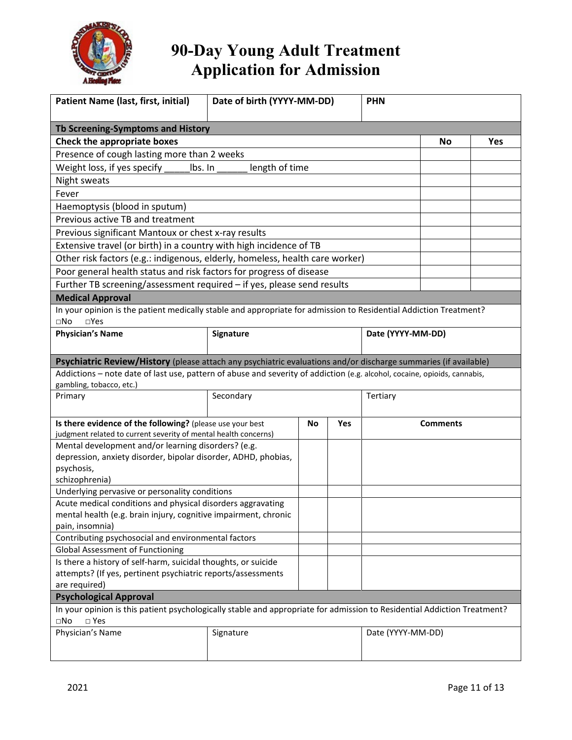

| <b>Patient Name (last, first, initial)</b>                                                                                | Date of birth (YYYY-MM-DD) |    | <b>PHN</b> |                   |                 |            |
|---------------------------------------------------------------------------------------------------------------------------|----------------------------|----|------------|-------------------|-----------------|------------|
|                                                                                                                           |                            |    |            |                   |                 |            |
| Tb Screening-Symptoms and History                                                                                         |                            |    |            |                   |                 | <b>Yes</b> |
| Check the appropriate boxes<br>Presence of cough lasting more than 2 weeks                                                |                            |    |            |                   |                 |            |
| Weight loss, if yes specify<br>lbs. In                                                                                    | length of time             |    |            |                   |                 |            |
| Night sweats                                                                                                              |                            |    |            |                   |                 |            |
| Fever                                                                                                                     |                            |    |            |                   |                 |            |
| Haemoptysis (blood in sputum)                                                                                             |                            |    |            |                   |                 |            |
| Previous active TB and treatment                                                                                          |                            |    |            |                   |                 |            |
| Previous significant Mantoux or chest x-ray results                                                                       |                            |    |            |                   |                 |            |
| Extensive travel (or birth) in a country with high incidence of TB                                                        |                            |    |            |                   |                 |            |
| Other risk factors (e.g.: indigenous, elderly, homeless, health care worker)                                              |                            |    |            |                   |                 |            |
| Poor general health status and risk factors for progress of disease                                                       |                            |    |            |                   |                 |            |
| Further TB screening/assessment required - if yes, please send results                                                    |                            |    |            |                   |                 |            |
| <b>Medical Approval</b>                                                                                                   |                            |    |            |                   |                 |            |
| In your opinion is the patient medically stable and appropriate for admission to Residential Addiction Treatment?         |                            |    |            |                   |                 |            |
| $\square$ No<br>$\Box$ Yes                                                                                                |                            |    |            |                   |                 |            |
| <b>Physician's Name</b>                                                                                                   | Signature                  |    |            | Date (YYYY-MM-DD) |                 |            |
|                                                                                                                           |                            |    |            |                   |                 |            |
| Psychiatric Review/History (please attach any psychiatric evaluations and/or discharge summaries (if available)           |                            |    |            |                   |                 |            |
| Addictions - note date of last use, pattern of abuse and severity of addiction (e.g. alcohol, cocaine, opioids, cannabis, |                            |    |            |                   |                 |            |
| gambling, tobacco, etc.)                                                                                                  |                            |    |            |                   |                 |            |
| Primary                                                                                                                   | Secondary                  |    |            | Tertiary          |                 |            |
|                                                                                                                           |                            |    |            |                   |                 |            |
| Is there evidence of the following? (please use your best                                                                 |                            | No | Yes        |                   | <b>Comments</b> |            |
| judgment related to current severity of mental health concerns)<br>Mental development and/or learning disorders? (e.g.    |                            |    |            |                   |                 |            |
| depression, anxiety disorder, bipolar disorder, ADHD, phobias,                                                            |                            |    |            |                   |                 |            |
| psychosis,                                                                                                                |                            |    |            |                   |                 |            |
| schizophrenia)                                                                                                            |                            |    |            |                   |                 |            |
| Underlying pervasive or personality conditions                                                                            |                            |    |            |                   |                 |            |
| Acute medical conditions and physical disorders aggravating                                                               |                            |    |            |                   |                 |            |
| mental health (e.g. brain injury, cognitive impairment, chronic                                                           |                            |    |            |                   |                 |            |
| pain, insomnia)<br>Contributing psychosocial and environmental factors                                                    |                            |    |            |                   |                 |            |
| <b>Global Assessment of Functioning</b>                                                                                   |                            |    |            |                   |                 |            |
| Is there a history of self-harm, suicidal thoughts, or suicide                                                            |                            |    |            |                   |                 |            |
| attempts? (If yes, pertinent psychiatric reports/assessments                                                              |                            |    |            |                   |                 |            |
| are required)                                                                                                             |                            |    |            |                   |                 |            |
| <b>Psychological Approval</b>                                                                                             |                            |    |            |                   |                 |            |
| In your opinion is this patient psychologically stable and appropriate for admission to Residential Addiction Treatment?  |                            |    |            |                   |                 |            |
| $\square$ No<br>$\square$ Yes                                                                                             |                            |    |            |                   |                 |            |
| Physician's Name                                                                                                          | Signature                  |    |            | Date (YYYY-MM-DD) |                 |            |
|                                                                                                                           |                            |    |            |                   |                 |            |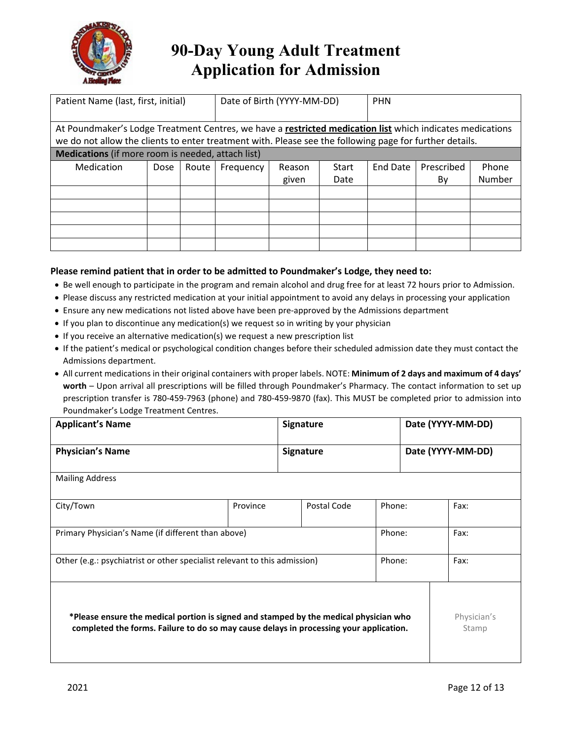

| Patient Name (last, first, initial)                                                                                                                                                                                  |      |       | Date of Birth (YYYY-MM-DD) |        |              | <b>PHN</b> |            |        |  |
|----------------------------------------------------------------------------------------------------------------------------------------------------------------------------------------------------------------------|------|-------|----------------------------|--------|--------------|------------|------------|--------|--|
| At Poundmaker's Lodge Treatment Centres, we have a restricted medication list which indicates medications<br>we do not allow the clients to enter treatment with. Please see the following page for further details. |      |       |                            |        |              |            |            |        |  |
| Medications (if more room is needed, attach list)                                                                                                                                                                    |      |       |                            |        |              |            |            |        |  |
| Medication                                                                                                                                                                                                           | Dose | Route | Frequency                  | Reason | <b>Start</b> | End Date   | Prescribed | Phone  |  |
|                                                                                                                                                                                                                      |      |       |                            | given  | Date         |            | By         | Number |  |
|                                                                                                                                                                                                                      |      |       |                            |        |              |            |            |        |  |
|                                                                                                                                                                                                                      |      |       |                            |        |              |            |            |        |  |
|                                                                                                                                                                                                                      |      |       |                            |        |              |            |            |        |  |
|                                                                                                                                                                                                                      |      |       |                            |        |              |            |            |        |  |
|                                                                                                                                                                                                                      |      |       |                            |        |              |            |            |        |  |

#### **Please remind patient that in order to be admitted to Poundmaker's Lodge, they need to:**

- Be well enough to participate in the program and remain alcohol and drug free for at least 72 hours prior to Admission.
- Please discuss any restricted medication at your initial appointment to avoid any delays in processing your application
- Ensure any new medications not listed above have been pre-approved by the Admissions department
- If you plan to discontinue any medication(s) we request so in writing by your physician
- If you receive an alternative medication(s) we request a new prescription list
- If the patient's medical or psychological condition changes before their scheduled admission date they must contact the Admissions department.
- All current medications in their original containers with proper labels. NOTE: **Minimum of 2 days and maximum of 4 days' worth** – Upon arrival all prescriptions will be filled through Poundmaker's Pharmacy. The contact information to set up prescription transfer is 780-459-7963 (phone) and 780-459-9870 (fax). This MUST be completed prior to admission into Poundmaker's Lodge Treatment Centres.

| <b>Applicant's Name</b>                                                                                                                                                         | <b>Signature</b> |                  |        | Date (YYYY-MM-DD) |      |                      |
|---------------------------------------------------------------------------------------------------------------------------------------------------------------------------------|------------------|------------------|--------|-------------------|------|----------------------|
| <b>Physician's Name</b>                                                                                                                                                         |                  | <b>Signature</b> |        | Date (YYYY-MM-DD) |      |                      |
| <b>Mailing Address</b>                                                                                                                                                          |                  |                  |        |                   |      |                      |
| City/Town                                                                                                                                                                       | Province         | Postal Code      |        | Phone:            |      | Fax:                 |
| Primary Physician's Name (if different than above)                                                                                                                              |                  |                  |        | Phone:            |      | Fax:                 |
| Other (e.g.: psychiatrist or other specialist relevant to this admission)                                                                                                       |                  |                  | Phone: |                   | Fax: |                      |
| *Please ensure the medical portion is signed and stamped by the medical physician who<br>completed the forms. Failure to do so may cause delays in processing your application. |                  |                  |        |                   |      | Physician's<br>Stamp |